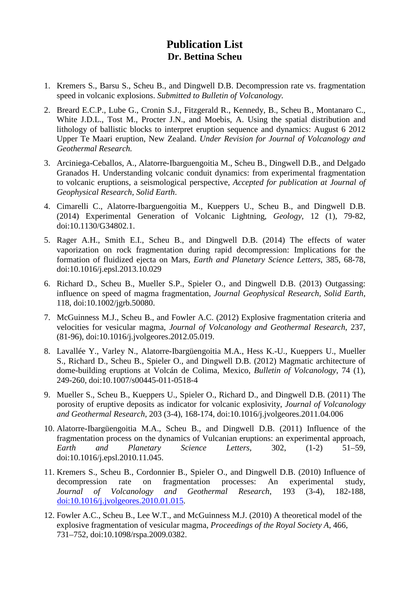## **Publication List Dr. Bettina Scheu**

- 1. Kremers S., Barsu S., Scheu B., and Dingwell D.B. Decompression rate vs. fragmentation speed in volcanic explosions. *Submitted to Bulletin of Volcanology.*
- 2. Breard E.C.P., Lube G., Cronin S.J., Fitzgerald R., Kennedy, B., Scheu B., Montanaro C., White J.D.L., Tost M., Procter J.N., and Moebis, A. Using the spatial distribution and lithology of ballistic blocks to interpret eruption sequence and dynamics: August 6 2012 Upper Te Maari eruption, New Zealand. *Under Revision for Journal of Volcanology and Geothermal Research.*
- 3. Arciniega-Ceballos, A., Alatorre-Ibarguengoitia M., Scheu B., Dingwell D.B., and Delgado Granados H. Understanding volcanic conduit dynamics: from experimental fragmentation to volcanic eruptions, a seismological perspective, *Accepted for publication at Journal of Geophysical Research, Solid Earth*.
- 4. Cimarelli C., Alatorre-Ibarguengoitia M., Kueppers U., Scheu B., and Dingwell D.B. (2014) Experimental Generation of Volcanic Lightning*, Geology,* 12 (1), 79-82, doi:10.1130/G34802.1.
- 5. Rager A.H., Smith E.I., Scheu B., and Dingwell D.B. (2014) The effects of water vaporization on rock fragmentation during rapid decompression: Implications for the formation of fluidized ejecta on Mars, *Earth and Planetary Science Letters*, 385, 68-78, doi:10.1016/j.epsl.2013.10.029
- 6. Richard D., Scheu B., Mueller S.P., Spieler O., and Dingwell D.B. (2013) Outgassing: influence on speed of magma fragmentation, *Journal Geophysical Research, Solid Earth*, 118, doi:10.1002/jgrb.50080.
- 7. McGuinness M.J., Scheu B., and Fowler A.C. (2012) Explosive fragmentation criteria and velocities for vesicular magma, *Journal of Volcanology and Geothermal Research*, 237, (81-96), doi:10.1016/j.jvolgeores.2012.05.019.
- 8. Lavallée Y., Varley N., Alatorre-Ibargüengoitia M.A., Hess K.-U., Kueppers U., Mueller S., Richard D., Scheu B., Spieler O., and Dingwell D.B. (2012) Magmatic architecture of dome-building eruptions at Volcán de Colima, Mexico, *Bulletin of Volcanology*, 74 (1), 249-260, doi:10.1007/s00445-011-0518-4
- 9. Mueller S., Scheu B., Kueppers U., Spieler O., Richard D., and Dingwell D.B. (2011) The porosity of eruptive deposits as indicator for volcanic explosivity, *Journal of Volcanology and Geothermal Research*, [203 \(3-4\)](http://www.sciencedirect.com/science?_ob=PublicationURL&_tockey=%23TOC%235962%232011%23997969996%233273747%23FLA%23&_cdi=5962&_pubType=J&view=c&_auth=y&_acct=C000032323&_version=1&_urlVersion=0&_userid=616146&md5=7bcf38f5ae5670cf84f1c924c5eb47ff), 168-174, [doi:10.1016/j.jvolgeores.2011.04.006](http://dx.doi.org/10.1016/j.jvolgeores.2011.04.006)
- 10. Alatorre-Ibargüengoitia M.A., Scheu B., and Dingwell D.B. (2011) Influence of the fragmentation process on the dynamics of Vulcanian eruptions: an experimental approach, *Earth and Planetary Science Letters,* 302, (1-2) 51–59, doi:10.1016/j.epsl.2010.11.045.
- 11. Kremers S., Scheu B., Cordonnier B., Spieler O., and Dingwell D.B. (2010) Influence of decompression rate on fragmentation processes: An experimental study, *Journal of Volcanology and Geothermal Research*, 193 (3-4), 182-188, [doi:10.1016/j.jvolgeores.2010.01.015.](http://dx.doi.org/10.1016/j.jvolgeores.2010.01.015)
- 12. Fowler A.C., Scheu B., Lee W.T., and McGuinness M.J. (2010) A theoretical model of the explosive fragmentation of vesicular magma, *Proceedings of the Royal Society A*, 466, 731–752, doi:10.1098/rspa.2009.0382.